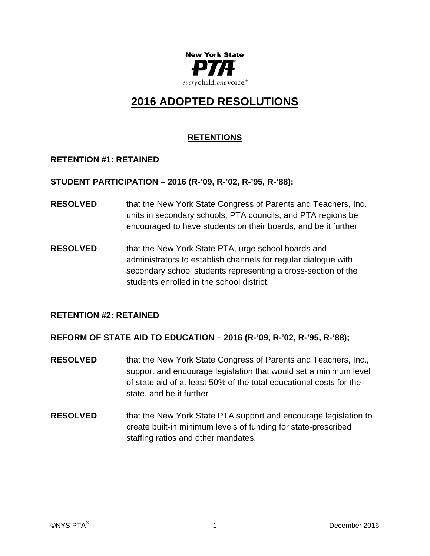

# **2016 ADOPTED RESOLUTIONS**

# **RETENTIONS**

# **RETENTION #1: RETAINED**

# **STUDENT PARTICIPATION – 2016 (R-'09, R-'02, R-'95, R-'88);**

- **RESOLVED** that the New York State Congress of Parents and Teachers, Inc. units in secondary schools, PTA councils, and PTA regions be encouraged to have students on their boards, and be it further
- **RESOLVED** that the New York State PTA, urge school boards and administrators to establish channels for regular dialogue with secondary school students representing a cross-section of the students enrolled in the school district.

# **RETENTION #2: RETAINED**

# **REFORM OF STATE AID TO EDUCATION – 2016 (R-'09, R-'02, R-'95, R-'88);**

- **RESOLVED** that the New York State Congress of Parents and Teachers, Inc., support and encourage legislation that would set a minimum level of state aid of at least 50% of the total educational costs for the state, and be it further
- **RESOLVED** that the New York State PTA support and encourage legislation to create built-in minimum levels of funding for state-prescribed staffing ratios and other mandates.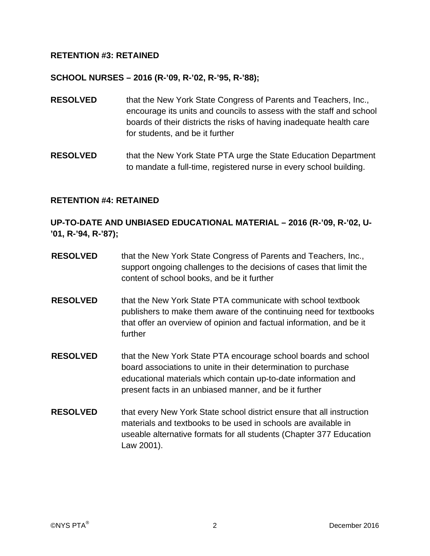# **RETENTION #3: RETAINED**

#### **SCHOOL NURSES – 2016 (R-'09, R-'02, R-'95, R-'88);**

- **RESOLVED** that the New York State Congress of Parents and Teachers, Inc., encourage its units and councils to assess with the staff and school boards of their districts the risks of having inadequate health care for students, and be it further
- **RESOLVED** that the New York State PTA urge the State Education Department to mandate a full-time, registered nurse in every school building.

#### **RETENTION #4: RETAINED**

# **UP-TO-DATE AND UNBIASED EDUCATIONAL MATERIAL – 2016 (R-'09, R-'02, U- '01, R-'94, R-'87);**

- **RESOLVED** that the New York State Congress of Parents and Teachers, Inc., support ongoing challenges to the decisions of cases that limit the content of school books, and be it further
- **RESOLVED** that the New York State PTA communicate with school textbook publishers to make them aware of the continuing need for textbooks that offer an overview of opinion and factual information, and be it further
- **RESOLVED** that the New York State PTA encourage school boards and school board associations to unite in their determination to purchase educational materials which contain up-to-date information and present facts in an unbiased manner, and be it further
- **RESOLVED** that every New York State school district ensure that all instruction materials and textbooks to be used in schools are available in useable alternative formats for all students (Chapter 377 Education Law 2001).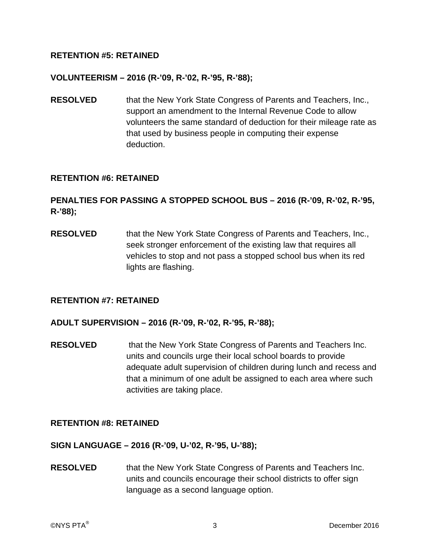# **RETENTION #5: RETAINED**

#### **VOLUNTEERISM – 2016 (R-'09, R-'02, R-'95, R-'88);**

**RESOLVED** that the New York State Congress of Parents and Teachers, Inc., support an amendment to the Internal Revenue Code to allow volunteers the same standard of deduction for their mileage rate as that used by business people in computing their expense deduction.

#### **RETENTION #6: RETAINED**

# **PENALTIES FOR PASSING A STOPPED SCHOOL BUS – 2016 (R-'09, R-'02, R-'95, R-'88);**

**RESOLVED** that the New York State Congress of Parents and Teachers, Inc., seek stronger enforcement of the existing law that requires all vehicles to stop and not pass a stopped school bus when its red lights are flashing.

#### **RETENTION #7: RETAINED**

#### **ADULT SUPERVISION – 2016 (R-'09, R-'02, R-'95, R-'88);**

**RESOLVED** that the New York State Congress of Parents and Teachers Inc. units and councils urge their local school boards to provide adequate adult supervision of children during lunch and recess and that a minimum of one adult be assigned to each area where such activities are taking place.

# **RETENTION #8: RETAINED**

**SIGN LANGUAGE – 2016 (R-'09, U-'02, R-'95, U-'88);** 

**RESOLVED** that the New York State Congress of Parents and Teachers Inc. units and councils encourage their school districts to offer sign language as a second language option.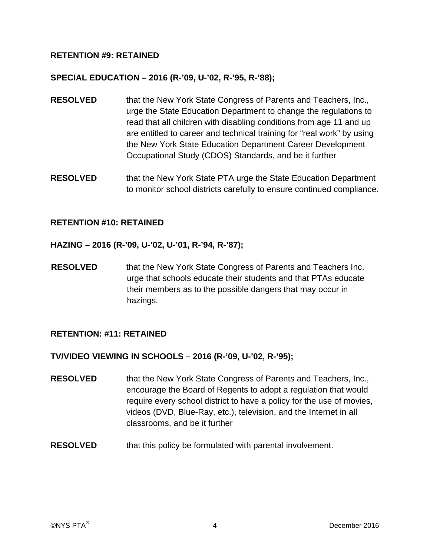# **RETENTION #9: RETAINED**

#### **SPECIAL EDUCATION – 2016 (R-'09, U-'02, R-'95, R-'88);**

- **RESOLVED** that the New York State Congress of Parents and Teachers, Inc., urge the State Education Department to change the regulations to read that all children with disabling conditions from age 11 and up are entitled to career and technical training for "real work" by using the New York State Education Department Career Development Occupational Study (CDOS) Standards, and be it further
- **RESOLVED** that the New York State PTA urge the State Education Department to monitor school districts carefully to ensure continued compliance.

#### **RETENTION #10: RETAINED**

- **HAZING 2016 (R-'09, U-'02, U-'01, R-'94, R-'87);**
- **RESOLVED** that the New York State Congress of Parents and Teachers Inc. urge that schools educate their students and that PTAs educate their members as to the possible dangers that may occur in hazings.

# **RETENTION: #11: RETAINED**

# **TV/VIDEO VIEWING IN SCHOOLS – 2016 (R-'09, U-'02, R-'95);**

- **RESOLVED** that the New York State Congress of Parents and Teachers, Inc., encourage the Board of Regents to adopt a regulation that would require every school district to have a policy for the use of movies, videos (DVD, Blue-Ray, etc.), television, and the Internet in all classrooms, and be it further
- **RESOLVED** that this policy be formulated with parental involvement.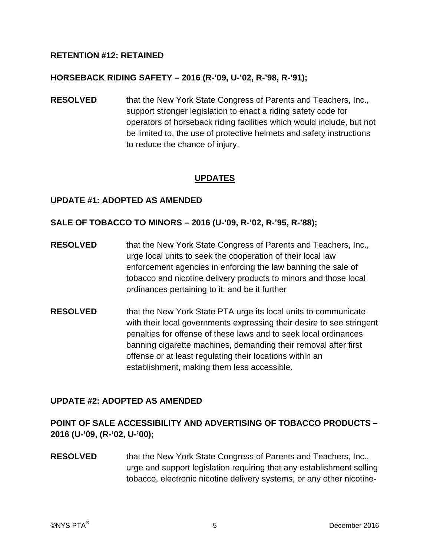# **RETENTION #12: RETAINED**

# **HORSEBACK RIDING SAFETY – 2016 (R-'09, U-'02, R-'98, R-'91);**

**RESOLVED** that the New York State Congress of Parents and Teachers, Inc., support stronger legislation to enact a riding safety code for operators of horseback riding facilities which would include, but not be limited to, the use of protective helmets and safety instructions to reduce the chance of injury.

# **UPDATES**

#### **UPDATE #1: ADOPTED AS AMENDED**

#### **SALE OF TOBACCO TO MINORS – 2016 (U-'09, R-'02, R-'95, R-'88);**

- **RESOLVED** that the New York State Congress of Parents and Teachers, Inc., urge local units to seek the cooperation of their local law enforcement agencies in enforcing the law banning the sale of tobacco and nicotine delivery products to minors and those local ordinances pertaining to it, and be it further
- **RESOLVED** that the New York State PTA urge its local units to communicate with their local governments expressing their desire to see stringent penalties for offense of these laws and to seek local ordinances banning cigarette machines, demanding their removal after first offense or at least regulating their locations within an establishment, making them less accessible.

# **UPDATE #2: ADOPTED AS AMENDED**

# **POINT OF SALE ACCESSIBILITY AND ADVERTISING OF TOBACCO PRODUCTS – 2016 (U-'09, (R-'02, U-'00);**

**RESOLVED** that the New York State Congress of Parents and Teachers, Inc., urge and support legislation requiring that any establishment selling tobacco, electronic nicotine delivery systems, or any other nicotine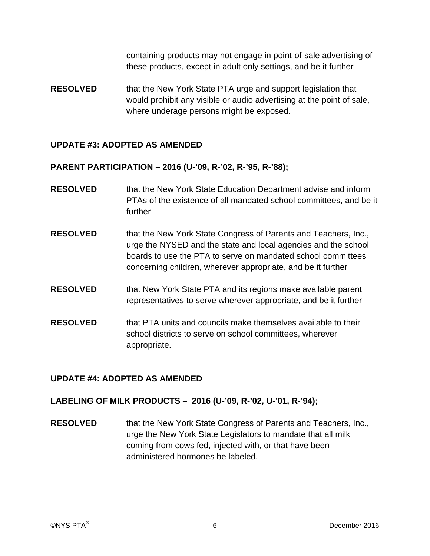containing products may not engage in point-of-sale advertising of these products, except in adult only settings, and be it further

**RESOLVED** that the New York State PTA urge and support legislation that would prohibit any visible or audio advertising at the point of sale, where underage persons might be exposed.

# **UPDATE #3: ADOPTED AS AMENDED**

# **PARENT PARTICIPATION – 2016 (U-'09, R-'02, R-'95, R-'88);**

- **RESOLVED** that the New York State Education Department advise and inform PTAs of the existence of all mandated school committees, and be it further
- **RESOLVED** that the New York State Congress of Parents and Teachers, Inc., urge the NYSED and the state and local agencies and the school boards to use the PTA to serve on mandated school committees concerning children, wherever appropriate, and be it further
- **RESOLVED** that New York State PTA and its regions make available parent representatives to serve wherever appropriate, and be it further
- **RESOLVED** that PTA units and councils make themselves available to their school districts to serve on school committees, wherever appropriate.

# **UPDATE #4: ADOPTED AS AMENDED**

# **LABELING OF MILK PRODUCTS – 2016 (U-'09, R-'02, U-'01, R-'94);**

**RESOLVED** that the New York State Congress of Parents and Teachers, Inc., urge the New York State Legislators to mandate that all milk coming from cows fed, injected with, or that have been administered hormones be labeled.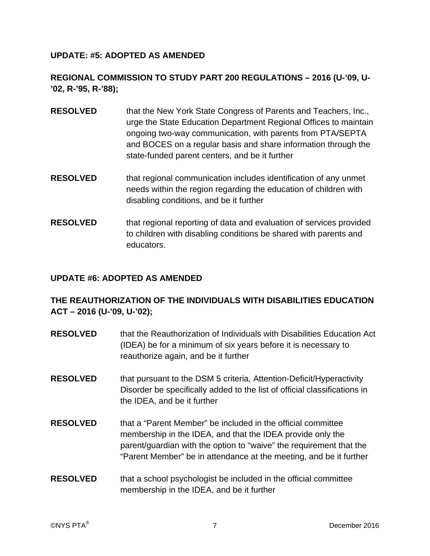# **UPDATE: #5: ADOPTED AS AMENDED**

# **REGIONAL COMMISSION TO STUDY PART 200 REGULATIONS – 2016 (U-'09, U- '02, R-'95, R-'88);**

- **RESOLVED** that the New York State Congress of Parents and Teachers, Inc., urge the State Education Department Regional Offices to maintain ongoing two-way communication, with parents from PTA/SEPTA and BOCES on a regular basis and share information through the state-funded parent centers, and be it further
- **RESOLVED** that regional communication includes identification of any unmet needs within the region regarding the education of children with disabling conditions, and be it further
- **RESOLVED** that regional reporting of data and evaluation of services provided to children with disabling conditions be shared with parents and educators.

# **UPDATE #6: ADOPTED AS AMENDED**

# **THE REAUTHORIZATION OF THE INDIVIDUALS WITH DISABILITIES EDUCATION ACT – 2016 (U-'09, U-'02);**

- **RESOLVED** that the Reauthorization of Individuals with Disabilities Education Act (IDEA) be for a minimum of six years before it is necessary to reauthorize again, and be it further
- **RESOLVED** that pursuant to the DSM 5 criteria, Attention-Deficit/Hyperactivity Disorder be specifically added to the list of official classifications in the IDEA, and be it further
- **RESOLVED** that a "Parent Member" be included in the official committee membership in the IDEA, and that the IDEA provide only the parent/guardian with the option to "waive" the requirement that the "Parent Member" be in attendance at the meeting, and be it further
- **RESOLVED** that a school psychologist be included in the official committee membership in the IDEA, and be it further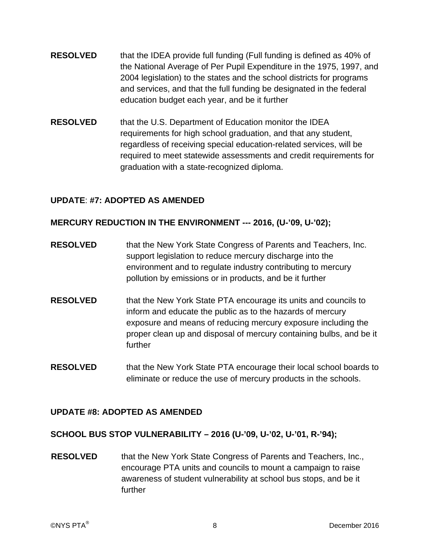- **RESOLVED** that the IDEA provide full funding (Full funding is defined as 40% of the National Average of Per Pupil Expenditure in the 1975, 1997, and 2004 legislation) to the states and the school districts for programs and services, and that the full funding be designated in the federal education budget each year, and be it further
- **RESOLVED** that the U.S. Department of Education monitor the IDEA requirements for high school graduation, and that any student, regardless of receiving special education-related services, will be required to meet statewide assessments and credit requirements for graduation with a state-recognized diploma.

# **UPDATE**: **#7: ADOPTED AS AMENDED**

# **MERCURY REDUCTION IN THE ENVIRONMENT --- 2016, (U-'09, U-'02);**

- **RESOLVED** that the New York State Congress of Parents and Teachers, Inc. support legislation to reduce mercury discharge into the environment and to regulate industry contributing to mercury pollution by emissions or in products, and be it further
- **RESOLVED** that the New York State PTA encourage its units and councils to inform and educate the public as to the hazards of mercury exposure and means of reducing mercury exposure including the proper clean up and disposal of mercury containing bulbs, and be it further
- **RESOLVED** that the New York State PTA encourage their local school boards to eliminate or reduce the use of mercury products in the schools.

# **UPDATE #8: ADOPTED AS AMENDED**

# **SCHOOL BUS STOP VULNERABILITY – 2016 (U-'09, U-'02, U-'01, R-'94);**

**RESOLVED** that the New York State Congress of Parents and Teachers, Inc., encourage PTA units and councils to mount a campaign to raise awareness of student vulnerability at school bus stops, and be it further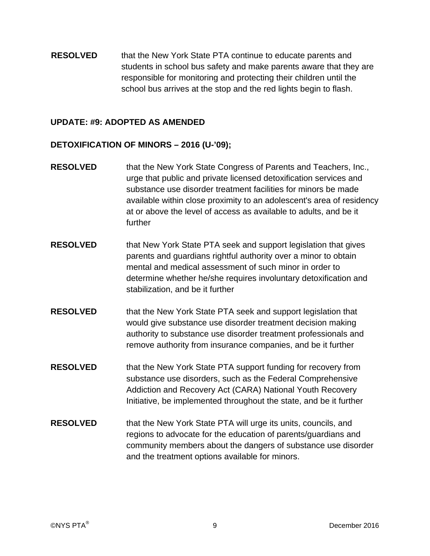**RESOLVED** that the New York State PTA continue to educate parents and students in school bus safety and make parents aware that they are responsible for monitoring and protecting their children until the school bus arrives at the stop and the red lights begin to flash.

#### **UPDATE: #9: ADOPTED AS AMENDED**

#### **DETOXIFICATION OF MINORS – 2016 (U-'09);**

- **RESOLVED** that the New York State Congress of Parents and Teachers, Inc., urge that public and private licensed detoxification services and substance use disorder treatment facilities for minors be made available within close proximity to an adolescent's area of residency at or above the level of access as available to adults, and be it further
- **RESOLVED** that New York State PTA seek and support legislation that gives parents and guardians rightful authority over a minor to obtain mental and medical assessment of such minor in order to determine whether he/she requires involuntary detoxification and stabilization, and be it further
- **RESOLVED** that the New York State PTA seek and support legislation that would give substance use disorder treatment decision making authority to substance use disorder treatment professionals and remove authority from insurance companies, and be it further
- **RESOLVED** that the New York State PTA support funding for recovery from substance use disorders, such as the Federal Comprehensive Addiction and Recovery Act (CARA) National Youth Recovery Initiative, be implemented throughout the state, and be it further
- **RESOLVED** that the New York State PTA will urge its units, councils, and regions to advocate for the education of parents/guardians and community members about the dangers of substance use disorder and the treatment options available for minors.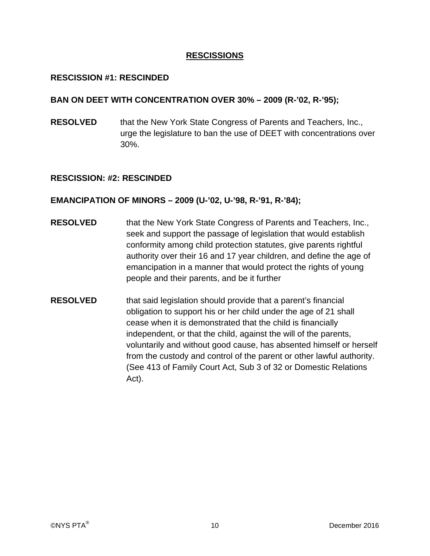# **RESCISSIONS**

# **RESCISSION #1: RESCINDED**

#### **BAN ON DEET WITH CONCENTRATION OVER 30% – 2009 (R-'02, R-'95);**

**RESOLVED** that the New York State Congress of Parents and Teachers, Inc., urge the legislature to ban the use of DEET with concentrations over 30%.

#### **RESCISSION: #2: RESCINDED**

# **EMANCIPATION OF MINORS – 2009 (U-'02, U-'98, R-'91, R-'84);**

- **RESOLVED** that the New York State Congress of Parents and Teachers, Inc., seek and support the passage of legislation that would establish conformity among child protection statutes, give parents rightful authority over their 16 and 17 year children, and define the age of emancipation in a manner that would protect the rights of young people and their parents, and be it further
- **RESOLVED** that said legislation should provide that a parent's financial obligation to support his or her child under the age of 21 shall cease when it is demonstrated that the child is financially independent, or that the child, against the will of the parents, voluntarily and without good cause, has absented himself or herself from the custody and control of the parent or other lawful authority. (See 413 of Family Court Act, Sub 3 of 32 or Domestic Relations Act).